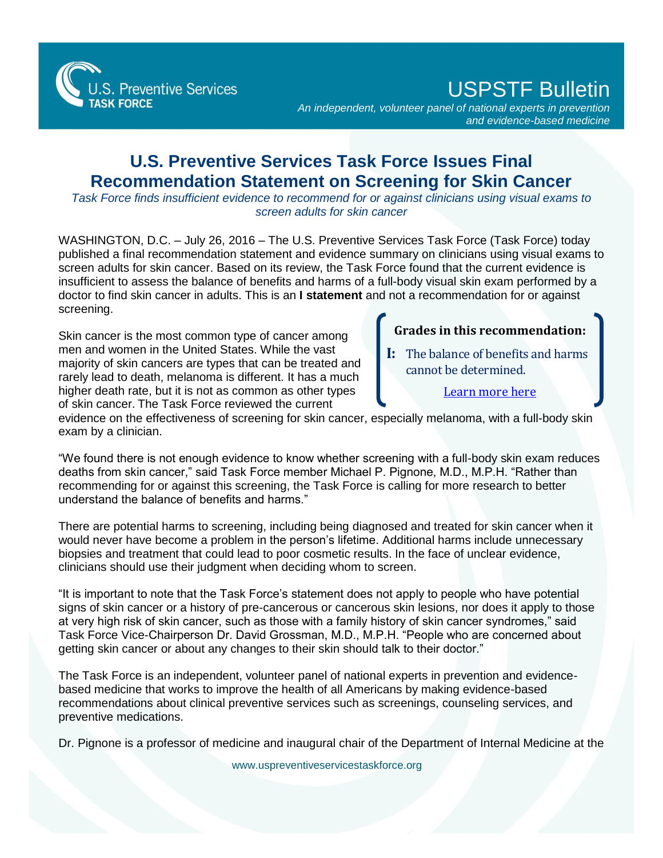S. Preventive Services

USPSTF Bulletin

*An independent, volunteer panel of national experts in prevention and evidence-based medicine*

## **U.S. Preventive Services Task Force Issues Final Recommendation Statement on Screening for Skin Cancer**

*Task Force finds insufficient evidence to recommend for or against clinicians using visual exams to screen adults for skin cancer* 

WASHINGTON, D.C. – July 26, 2016 – The U.S. Preventive Services Task Force (Task Force) today published a final recommendation statement and evidence summary on clinicians using visual exams to screen adults for skin cancer. Based on its review, the Task Force found that the current evidence is insufficient to assess the balance of benefits and harms of a full-body visual skin exam performed by a doctor to find skin cancer in adults. This is an **I statement** and not a recommendation for or against screening.

Skin cancer is the most common type of cancer among men and women in the United States. While the vast majority of skin cancers are types that can be treated and rarely lead to death, melanoma is different. It has a much higher death rate, but it is not as common as other types of skin cancer. The Task Force reviewed the current

## **Grades in this recommendation:**

**I:** The balance of benefits and harms cannot be determined.

[Learn more here](http://www.uspreventiveservicestaskforce.org/Page/Name/grade-definitions)

evidence on the effectiveness of screening for skin cancer, especially melanoma, with a full-body skin exam by a clinician.

"We found there is not enough evidence to know whether screening with a full-body skin exam reduces deaths from skin cancer," said Task Force member Michael P. Pignone, M.D., M.P.H. "Rather than recommending for or against this screening, the Task Force is calling for more research to better understand the balance of benefits and harms."

There are potential harms to screening, including being diagnosed and treated for skin cancer when it would never have become a problem in the person's lifetime. Additional harms include unnecessary biopsies and treatment that could lead to poor cosmetic results. In the face of unclear evidence, clinicians should use their judgment when deciding whom to screen.

"It is important to note that the Task Force's statement does not apply to people who have potential signs of skin cancer or a history of pre-cancerous or cancerous skin lesions, nor does it apply to those at very high risk of skin cancer, such as those with a family history of skin cancer syndromes," said Task Force Vice-Chairperson Dr. David Grossman, M.D., M.P.H. "People who are concerned about getting skin cancer or about any changes to their skin should talk to their doctor."

The Task Force is an independent, volunteer panel of national experts in prevention and evidencebased medicine that works to improve the health of all Americans by making evidence-based recommendations about clinical preventive services such as screenings, counseling services, and preventive medications.

Dr. Pignone is a professor of medicine and inaugural chair of the Department of Internal Medicine at the

[www.uspreventiveservicestaskforce.org](http://www.uspreventiveservicestaskforce.org/)